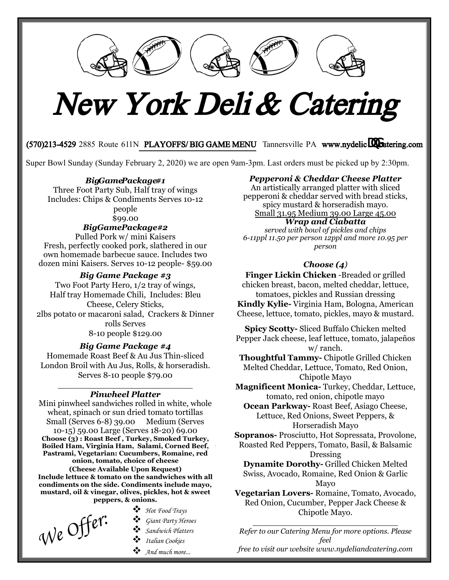

# New York Deli & Catering

## (570)213-4529 2885 Route 611N PLAYOFFS/BIG GAME MENU Tannersville PA www.nydelicUratering.com

Super Bowl Sunday (Sunday February 2, 2020) we are open 9am-3pm. Last orders must be picked up by 2:30pm.

## *BigGamePackage#1*

Three Foot Party Sub, Half tray of wings Includes: Chips & Condiments Serves 10-12 people

## \$99.00

## *BigGamePackage #2*

Pulled Pork w/ mini Kaisers Fresh, perfectly cooked pork, slathered in our own homemade barbecue sauce. Includes two dozen mini Kaisers. Serves 10-12 people- \$59.00

## *Big Game Package #3*

Two Foot Party Hero, 1/2 tray of wings, Half tray Homemade Chili, Includes: Bleu Cheese, Celery Sticks, 2lbs potato or macaroni salad, Crackers & Dinner rolls Serves 8-10 people \$129.00

## *Big Game Package #4*

Homemade Roast Beef & Au Jus Thin-sliced London Broil with Au Jus, Rolls, & horseradish. Serves 8-10 people \$79.00

## \_\_\_\_\_\_\_\_\_\_\_\_\_\_\_\_\_\_\_\_\_\_\_\_\_\_ *Pinwheel Platter*

Mini pinwheel sandwiches rolled in white, whole wheat, spinach or sun dried tomato tortillas<br>Small (Serves 6-8) 39.00 Medium (Serves Small (Serves  $6-8$ ) 39.00 10-15) 59.00 Large (Serves 18-20) 69.00 **Choose (3) : Roast Beef , Turkey, Smoked Turkey, Boiled Ham, Virginia Ham, Salami, Corned Beef, Pastrami, Vegetarian: Cucumbers, Romaine, red onion, tomato, choice of cheese (Cheese Available Upon Request) Include lettuce & tomato on the sandwiches with all condiments on the side. Condiments include mayo, mustard, oil & vinegar, olives, pickles, hot & sweet peppers, & onions.** 

*Hot Food Trays*<br> *We* Offer:<br> *i Giant Party Her*<br> *i Sandwich Platt* 

- 
- *Giant Party Heroes*
- *Sandwich Platters*
- *Italian Cookies*
- *And much more...*

## *Pepperoni & Cheddar Cheese Platter*

An artistically arranged platter with sliced pepperoni & cheddar served with bread sticks, spicy mustard & horseradish mayo. Small 31.95 Medium 39.00 Large 45.00

## *Wrap and Ciabatta*

*served with bowl of pickles and chips 6-11ppl 11.50 per person 12ppl and more 10.95 per person*

## *Choose (4)*

**Finger Lickin Chicken** -Breaded or grilled chicken breast, bacon, melted cheddar, lettuce, tomatoes, pickles and Russian dressing **Kindly Kylie-** Virginia Ham, Bologna, American Cheese, lettuce, tomato, pickles, mayo & mustard.

**Spicy Scotty-** Sliced Buffalo Chicken melted Pepper Jack cheese, leaf lettuce, tomato, jalapeños w/ ranch.

**Thoughtful Tammy-** Chipotle Grilled Chicken Melted Cheddar, Lettuce, Tomato, Red Onion, Chipotle Mayo

**Magnificent Monica-** Turkey, Cheddar, Lettuce, tomato, red onion, chipotle mayo

**Ocean Parkway-** Roast Beef, Asiago Cheese, Lettuce, Red Onions, Sweet Peppers, & Horseradish Mayo

**Sopranos-** Prosciutto, Hot Sopressata, Provolone, Roasted Red Peppers, Tomato, Basil, & Balsamic

Dressing

**Dynamite Dorothy-** Grilled Chicken Melted Swiss, Avocado, Romaine, Red Onion & Garlic Mayo

**Vegetarian Lovers-** Romaine, Tomato, Avocado, Red Onion, Cucumber, Pepper Jack Cheese & Chipotle Mayo.

\_\_\_\_\_\_\_\_\_\_\_\_\_\_\_\_\_\_\_\_\_\_\_\_\_\_\_\_ *Refer to our [Catering](http://www.vincentsdeli.net/) Menu for more options. Please feel* 

*free to visit our website www.nydeliandcatering.com*